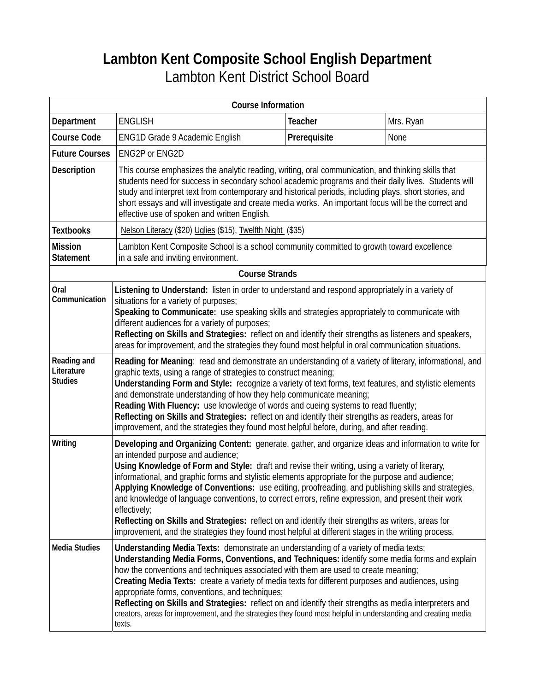# **Lambton Kent Composite School English Department**  Lambton Kent District School Board

| <b>Course Information</b>                   |                                                                                                                                                                                                                                                                                                                                                                                                                                                                                                                                                                                                                                                                                                                                                                                              |                |           |  |
|---------------------------------------------|----------------------------------------------------------------------------------------------------------------------------------------------------------------------------------------------------------------------------------------------------------------------------------------------------------------------------------------------------------------------------------------------------------------------------------------------------------------------------------------------------------------------------------------------------------------------------------------------------------------------------------------------------------------------------------------------------------------------------------------------------------------------------------------------|----------------|-----------|--|
| Department                                  | <b>ENGLISH</b>                                                                                                                                                                                                                                                                                                                                                                                                                                                                                                                                                                                                                                                                                                                                                                               | <b>Teacher</b> | Mrs. Ryan |  |
| <b>Course Code</b>                          | ENG1D Grade 9 Academic English                                                                                                                                                                                                                                                                                                                                                                                                                                                                                                                                                                                                                                                                                                                                                               | Prerequisite   | None      |  |
| <b>Future Courses</b>                       | <b>ENG2P or ENG2D</b>                                                                                                                                                                                                                                                                                                                                                                                                                                                                                                                                                                                                                                                                                                                                                                        |                |           |  |
| <b>Description</b>                          | This course emphasizes the analytic reading, writing, oral communication, and thinking skills that<br>students need for success in secondary school academic programs and their daily lives. Students will<br>study and interpret text from contemporary and historical periods, including plays, short stories, and<br>short essays and will investigate and create media works. An important focus will be the correct and<br>effective use of spoken and written English.                                                                                                                                                                                                                                                                                                                 |                |           |  |
| <b>Textbooks</b>                            | Nelson Literacy (\$20) Uglies (\$15), Twelfth Night (\$35)                                                                                                                                                                                                                                                                                                                                                                                                                                                                                                                                                                                                                                                                                                                                   |                |           |  |
| <b>Mission</b><br><b>Statement</b>          | Lambton Kent Composite School is a school community committed to growth toward excellence<br>in a safe and inviting environment.                                                                                                                                                                                                                                                                                                                                                                                                                                                                                                                                                                                                                                                             |                |           |  |
| <b>Course Strands</b>                       |                                                                                                                                                                                                                                                                                                                                                                                                                                                                                                                                                                                                                                                                                                                                                                                              |                |           |  |
| Oral<br>Communication                       | Listening to Understand: listen in order to understand and respond appropriately in a variety of<br>situations for a variety of purposes;<br>Speaking to Communicate: use speaking skills and strategies appropriately to communicate with<br>different audiences for a variety of purposes;<br>Reflecting on Skills and Strategies: reflect on and identify their strengths as listeners and speakers,<br>areas for improvement, and the strategies they found most helpful in oral communication situations.                                                                                                                                                                                                                                                                               |                |           |  |
| Reading and<br>Literature<br><b>Studies</b> | Reading for Meaning: read and demonstrate an understanding of a variety of literary, informational, and<br>graphic texts, using a range of strategies to construct meaning;<br>Understanding Form and Style: recognize a variety of text forms, text features, and stylistic elements<br>and demonstrate understanding of how they help communicate meaning;<br>Reading With Fluency: use knowledge of words and cueing systems to read fluently;<br>Reflecting on Skills and Strategies: reflect on and identify their strengths as readers, areas for<br>improvement, and the strategies they found most helpful before, during, and after reading.                                                                                                                                        |                |           |  |
| Writing                                     | Developing and Organizing Content: generate, gather, and organize ideas and information to write for<br>an intended purpose and audience;<br>Using Knowledge of Form and Style: draft and revise their writing, using a variety of literary,<br>informational, and graphic forms and stylistic elements appropriate for the purpose and audience;<br>Applying Knowledge of Conventions: use editing, proofreading, and publishing skills and strategies,<br>and knowledge of language conventions, to correct errors, refine expression, and present their work<br>effectively;<br>Reflecting on Skills and Strategies: reflect on and identify their strengths as writers, areas for<br>improvement, and the strategies they found most helpful at different stages in the writing process. |                |           |  |
| <b>Media Studies</b>                        | Understanding Media Texts: demonstrate an understanding of a variety of media texts;<br>Understanding Media Forms, Conventions, and Techniques: identify some media forms and explain<br>how the conventions and techniques associated with them are used to create meaning;<br>Creating Media Texts: create a variety of media texts for different purposes and audiences, using<br>appropriate forms, conventions, and techniques;<br>Reflecting on Skills and Strategies: reflect on and identify their strengths as media interpreters and<br>creators, areas for improvement, and the strategies they found most helpful in understanding and creating media<br>texts.                                                                                                                  |                |           |  |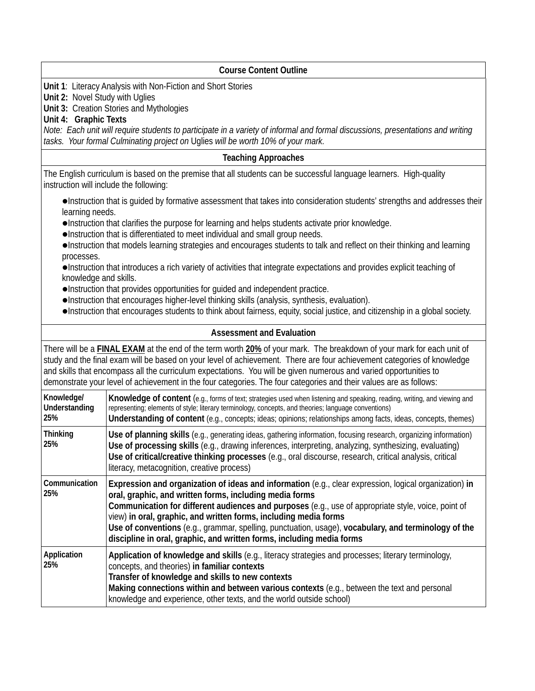| <b>Course Content Outline</b>                                                                                                                                                                                                                                                                                                                                                                                                                                                                                                                                                                                                     |                                                                                                                                                                                                                                                                                                                                                                                                                                                                                                                               |  |  |
|-----------------------------------------------------------------------------------------------------------------------------------------------------------------------------------------------------------------------------------------------------------------------------------------------------------------------------------------------------------------------------------------------------------------------------------------------------------------------------------------------------------------------------------------------------------------------------------------------------------------------------------|-------------------------------------------------------------------------------------------------------------------------------------------------------------------------------------------------------------------------------------------------------------------------------------------------------------------------------------------------------------------------------------------------------------------------------------------------------------------------------------------------------------------------------|--|--|
| Unit 1: Literacy Analysis with Non-Fiction and Short Stories<br>Unit 2: Novel Study with Uglies<br>Unit 3: Creation Stories and Mythologies<br>Unit 4: Graphic Texts<br>Note: Each unit will require students to participate in a variety of informal and formal discussions, presentations and writing<br>tasks. Your formal Culminating project on Uglies will be worth 10% of your mark.                                                                                                                                                                                                                                       |                                                                                                                                                                                                                                                                                                                                                                                                                                                                                                                               |  |  |
| <b>Teaching Approaches</b>                                                                                                                                                                                                                                                                                                                                                                                                                                                                                                                                                                                                        |                                                                                                                                                                                                                                                                                                                                                                                                                                                                                                                               |  |  |
|                                                                                                                                                                                                                                                                                                                                                                                                                                                                                                                                                                                                                                   | The English curriculum is based on the premise that all students can be successful language learners. High-quality<br>instruction will include the following:                                                                                                                                                                                                                                                                                                                                                                 |  |  |
| •Instruction that is guided by formative assessment that takes into consideration students' strengths and addresses their<br>learning needs.<br>. Instruction that clarifies the purpose for learning and helps students activate prior knowledge.<br>. Instruction that is differentiated to meet individual and small group needs.<br>·Instruction that models learning strategies and encourages students to talk and reflect on their thinking and learning<br>processes.<br>•Instruction that introduces a rich variety of activities that integrate expectations and provides explicit teaching of<br>knowledge and skills. |                                                                                                                                                                                                                                                                                                                                                                                                                                                                                                                               |  |  |
| . Instruction that provides opportunities for guided and independent practice.<br>•Instruction that encourages higher-level thinking skills (analysis, synthesis, evaluation).<br>•Instruction that encourages students to think about fairness, equity, social justice, and citizenship in a global society.                                                                                                                                                                                                                                                                                                                     |                                                                                                                                                                                                                                                                                                                                                                                                                                                                                                                               |  |  |
| <b>Assessment and Evaluation</b>                                                                                                                                                                                                                                                                                                                                                                                                                                                                                                                                                                                                  |                                                                                                                                                                                                                                                                                                                                                                                                                                                                                                                               |  |  |
| There will be a <b>FINAL EXAM</b> at the end of the term worth 20% of your mark. The breakdown of your mark for each unit of<br>study and the final exam will be based on your level of achievement. There are four achievement categories of knowledge<br>and skills that encompass all the curriculum expectations. You will be given numerous and varied opportunities to<br>demonstrate your level of achievement in the four categories. The four categories and their values are as follows:                                                                                                                                |                                                                                                                                                                                                                                                                                                                                                                                                                                                                                                                               |  |  |
| Knowledge/<br>Understanding<br>25%                                                                                                                                                                                                                                                                                                                                                                                                                                                                                                                                                                                                | Knowledge of content (e.g., forms of text; strategies used when listening and speaking, reading, writing, and viewing and<br>representing; elements of style; literary terminology, concepts, and theories; language conventions)<br>Understanding of content (e.g., concepts; ideas; opinions; relationships among facts, ideas, concepts, themes)                                                                                                                                                                           |  |  |
| <b>Thinking</b><br>25%                                                                                                                                                                                                                                                                                                                                                                                                                                                                                                                                                                                                            | Use of planning skills (e.g., generating ideas, gathering information, focusing research, organizing information)<br>Use of processing skills (e.g., drawing inferences, interpreting, analyzing, synthesizing, evaluating)<br>Use of critical/creative thinking processes (e.g., oral discourse, research, critical analysis, critical<br>literacy, metacognition, creative process)                                                                                                                                         |  |  |
| Communication<br>25%                                                                                                                                                                                                                                                                                                                                                                                                                                                                                                                                                                                                              | Expression and organization of ideas and information (e.g., clear expression, logical organization) in<br>oral, graphic, and written forms, including media forms<br>Communication for different audiences and purposes (e.g., use of appropriate style, voice, point of<br>view) in oral, graphic, and written forms, including media forms<br>Use of conventions (e.g., grammar, spelling, punctuation, usage), vocabulary, and terminology of the<br>discipline in oral, graphic, and written forms, including media forms |  |  |
| Application<br>25%                                                                                                                                                                                                                                                                                                                                                                                                                                                                                                                                                                                                                | Application of knowledge and skills (e.g., literacy strategies and processes; literary terminology,<br>concepts, and theories) in familiar contexts<br>Transfer of knowledge and skills to new contexts<br>Making connections within and between various contexts (e.g., between the text and personal<br>knowledge and experience, other texts, and the world outside school)                                                                                                                                                |  |  |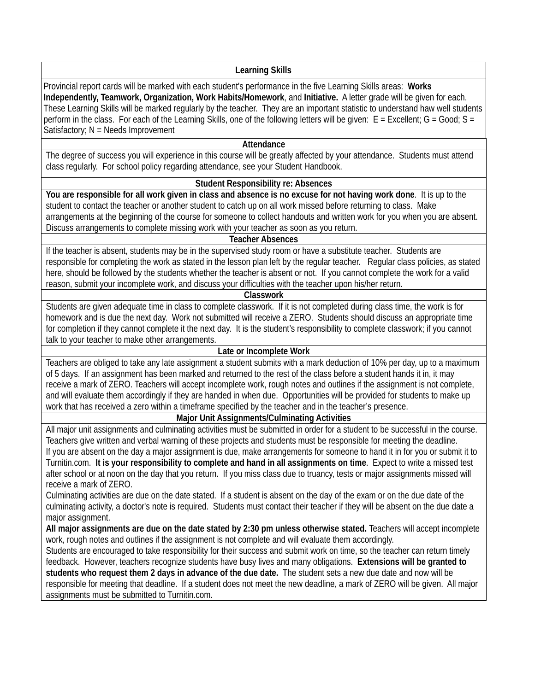### **Learning Skills**

Provincial report cards will be marked with each student's performance in the five Learning Skills areas: **Works Independently, Teamwork, Organization, Work Habits/Homework**, and **Initiative.** A letter grade will be given for each. These Learning Skills will be marked regularly by the teacher. They are an important statistic to understand haw well students perform in the class. For each of the Learning Skills, one of the following letters will be given:  $E =$  Excellent;  $G =$  Good;  $S =$ Satisfactory;  $N = Needs$  Improvement

#### **Attendance**

The degree of success you will experience in this course will be greatly affected by your attendance. Students must attend class regularly. For school policy regarding attendance, see your Student Handbook.

#### **Student Responsibility re: Absences**

**You are responsible for all work given in class and absence is no excuse for not having work done**. It is up to the student to contact the teacher or another student to catch up on all work missed before returning to class. Make arrangements at the beginning of the course for someone to collect handouts and written work for you when you are absent. Discuss arrangements to complete missing work with your teacher as soon as you return.

#### **Teacher Absences**

If the teacher is absent, students may be in the supervised study room or have a substitute teacher. Students are responsible for completing the work as stated in the lesson plan left by the regular teacher. Regular class policies, as stated here, should be followed by the students whether the teacher is absent or not. If you cannot complete the work for a valid reason, submit your incomplete work, and discuss your difficulties with the teacher upon his/her return.

#### **Classwork**

Students are given adequate time in class to complete classwork. If it is not completed during class time, the work is for homework and is due the next day. Work not submitted will receive a ZERO. Students should discuss an appropriate time for completion if they cannot complete it the next day. It is the student's responsibility to complete classwork; if you cannot talk to your teacher to make other arrangements.

## **Late or Incomplete Work**

Teachers are obliged to take any late assignment a student submits with a mark deduction of 10% per day, up to a maximum of 5 days. If an assignment has been marked and returned to the rest of the class before a student hands it in, it may receive a mark of ZERO. Teachers will accept incomplete work, rough notes and outlines if the assignment is not complete, and will evaluate them accordingly if they are handed in when due. Opportunities will be provided for students to make up work that has received a zero within a timeframe specified by the teacher and in the teacher's presence.

## **Major Unit Assignments/Culminating Activities**

All major unit assignments and culminating activities must be submitted in order for a student to be successful in the course. Teachers give written and verbal warning of these projects and students must be responsible for meeting the deadline. If you are absent on the day a major assignment is due, make arrangements for someone to hand it in for you or submit it to Turnitin.com. **It is your responsibility to complete and hand in all assignments on time**. Expect to write a missed test after school or at noon on the day that you return. If you miss class due to truancy, tests or major assignments missed will receive a mark of ZERO.

Culminating activities are due on the date stated. If a student is absent on the day of the exam or on the due date of the culminating activity, a doctor's note is required. Students must contact their teacher if they will be absent on the due date a major assignment.

**All major assignments are due on the date stated by 2:30 pm unless otherwise stated.** Teachers will accept incomplete work, rough notes and outlines if the assignment is not complete and will evaluate them accordingly.

Students are encouraged to take responsibility for their success and submit work on time, so the teacher can return timely feedback. However, teachers recognize students have busy lives and many obligations. **Extensions will be granted to students who request them 2 days in advance of the due date.** The student sets a new due date and now will be responsible for meeting that deadline. If a student does not meet the new deadline, a mark of ZERO will be given. All major assignments must be submitted to Turnitin.com.